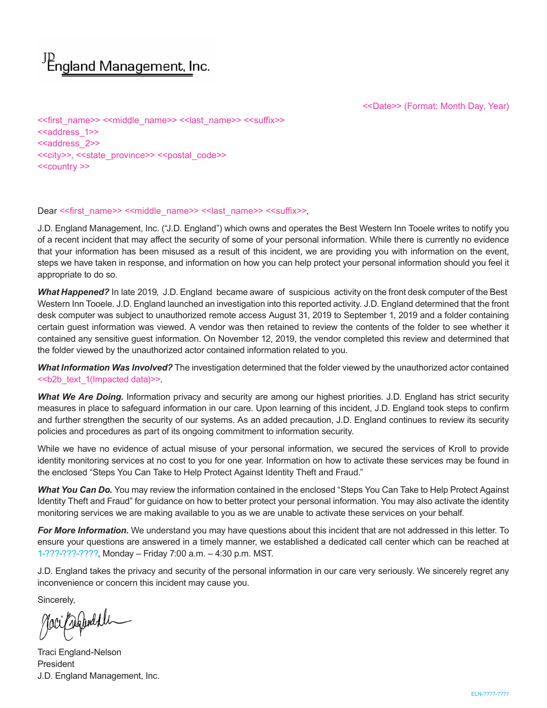# <sup>JD</sup> England Management, Inc.

<<Date>> (Format: Month Day, Year)

<<first\_name>> <<middle\_name>> <<last\_name>> <<suffix>> <<aaddress\_1>> <<address 2>> <<city>>, <<state\_province>> <<postal\_code>> <<country >>

#### Dear << first\_name>> << middle\_name>> << last\_name>> << suffix>>,

J.D. England Management, Inc. ("J.D. England") which owns and operates the Best Western Inn Tooele writes to notify you of a recent incident that may affect the security of some of your personal information. While there is currently no evidence that your information has been misused as a result of this incident, we are providing you with information on the event, steps we have taken in response, and information on how you can help protect your personal information should you feel it appropriate to do so.

*What Happened?* In late 2019, J.D. England became aware of suspicious activity on the front desk computer of the Best Western Inn Tooele. J.D. England launched an investigation into this reported activity. J.D. England determined that the front desk computer was subject to unauthorized remote access August 31, 2019 to September 1, 2019 and a folder containing certain guest information was viewed. A vendor was then retained to review the contents of the folder to see whether it contained any sensitive guest information. On November 12, 2019, the vendor completed this review and determined that the folder viewed by the unauthorized actor contained information related to you.

*What Information Was Involved?* The investigation determined that the folder viewed by the unauthorized actor contained <<b2b\_text\_1(Impacted data)>>.

*What We Are Doing.* Information privacy and security are among our highest priorities. J.D. England has strict security measures in place to safeguard information in our care. Upon learning of this incident, J.D. England took steps to confirm and further strengthen the security of our systems. As an added precaution, J.D. England continues to review its security policies and procedures as part of its ongoing commitment to information security.

While we have no evidence of actual misuse of your personal information, we secured the services of Kroll to provide identity monitoring services at no cost to you for one year. Information on how to activate these services may be found in the enclosed "Steps You Can Take to Help Protect Against Identity Theft and Fraud."

*What You Can Do.* You may review the information contained in the enclosed "Steps You Can Take to Help Protect Against Identity Theft and Fraud" for guidance on how to better protect your personal information. You may also activate the identity monitoring services we are making available to you as we are unable to activate these services on your behalf.

*For More Information.* We understand you may have questions about this incident that are not addressed in this letter. To ensure your questions are answered in a timely manner, we established a dedicated call center which can be reached at 1-???-???-????, Monday – Friday 7:00 a.m. – 4:30 p.m. MST.

J.D. England takes the privacy and security of the personal information in our care very seriously. We sincerely regret any inconvenience or concern this incident may cause you.

Sincerely,

Jaci Geofondale

Traci England-Nelson President J.D. England Management, Inc.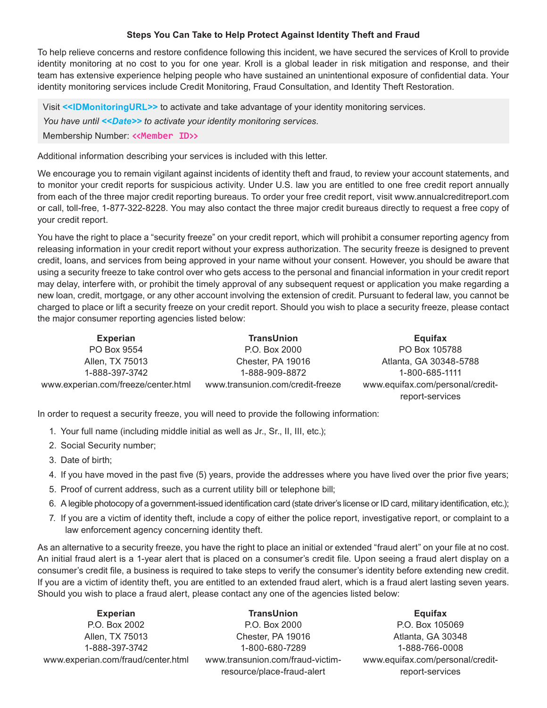## **Steps You Can Take to Help Protect Against Identity Theft and Fraud**

To help relieve concerns and restore confidence following this incident, we have secured the services of Kroll to provide identity monitoring at no cost to you for one year. Kroll is a global leader in risk mitigation and response, and their team has extensive experience helping people who have sustained an unintentional exposure of confidential data. Your identity monitoring services include Credit Monitoring, Fraud Consultation, and Identity Theft Restoration.

Visit <<**IDMonitoringURL>>** to activate and take advantage of your identity monitoring services.

*You have until <<Date>> to activate your identity monitoring services.*

Membership Number: **<<Member ID>>**

Additional information describing your services is included with this letter.

We encourage you to remain vigilant against incidents of identity theft and fraud, to review your account statements, and to monitor your credit reports for suspicious activity. Under U.S. law you are entitled to one free credit report annually from each of the three major credit reporting bureaus. To order your free credit report, visit www.annualcreditreport.com or call, toll-free, 1-877-322-8228. You may also contact the three major credit bureaus directly to request a free copy of your credit report.

You have the right to place a "security freeze" on your credit report, which will prohibit a consumer reporting agency from releasing information in your credit report without your express authorization. The security freeze is designed to prevent credit, loans, and services from being approved in your name without your consent. However, you should be aware that using a security freeze to take control over who gets access to the personal and financial information in your credit report may delay, interfere with, or prohibit the timely approval of any subsequent request or application you make regarding a new loan, credit, mortgage, or any other account involving the extension of credit. Pursuant to federal law, you cannot be charged to place or lift a security freeze on your credit report. Should you wish to place a security freeze, please contact the major consumer reporting agencies listed below:

| <b>Experian</b>                     | <b>TransUnion</b>                | Equifax                                             |
|-------------------------------------|----------------------------------|-----------------------------------------------------|
| PO Box 9554                         | P.O. Box 2000                    | PO Box 105788                                       |
| Allen, TX 75013                     | Chester, PA 19016                | Atlanta, GA 30348-5788                              |
| 1-888-397-3742                      | 1-888-909-8872                   | 1-800-685-1111                                      |
| www.experian.com/freeze/center.html | www.transunion.com/credit-freeze | www.equifax.com/personal/credit-<br>report-services |

In order to request a security freeze, you will need to provide the following information:

- 1. Your full name (including middle initial as well as Jr., Sr., II, III, etc.);
- 2. Social Security number;
- 3. Date of birth;
- 4. If you have moved in the past five (5) years, provide the addresses where you have lived over the prior five years;
- 5. Proof of current address, such as a current utility bill or telephone bill;
- 6. A legible photocopy of a government-issued identification card (state driver's license or ID card, military identification, etc.);
- 7. If you are a victim of identity theft, include a copy of either the police report, investigative report, or complaint to a law enforcement agency concerning identity theft.

As an alternative to a security freeze, you have the right to place an initial or extended "fraud alert" on your file at no cost. An initial fraud alert is a 1-year alert that is placed on a consumer's credit file. Upon seeing a fraud alert display on a consumer's credit file, a business is required to take steps to verify the consumer's identity before extending new credit. If you are a victim of identity theft, you are entitled to an extended fraud alert, which is a fraud alert lasting seven years. Should you wish to place a fraud alert, please contact any one of the agencies listed below:

| <b>Experian</b>                    | <b>TransUnion</b>                | Equifax                          |
|------------------------------------|----------------------------------|----------------------------------|
| P.O. Box 2002                      | P.O. Box 2000                    | P.O. Box 105069                  |
| Allen, TX 75013                    | Chester, PA 19016                | Atlanta, GA 30348                |
| 1-888-397-3742                     | 1-800-680-7289                   | 1-888-766-0008                   |
| www.experian.com/fraud/center.html | www.transunion.com/fraud-victim- | www.equifax.com/personal/credit- |
|                                    | resource/place-fraud-alert       | report-services                  |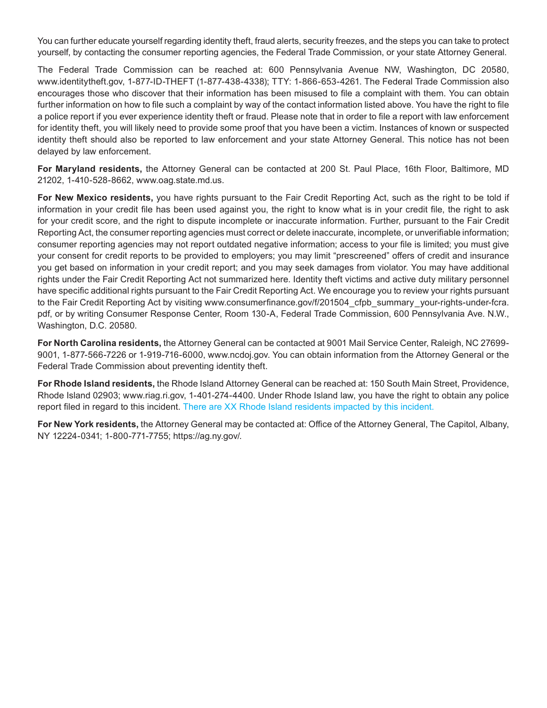You can further educate yourself regarding identity theft, fraud alerts, security freezes, and the steps you can take to protect yourself, by contacting the consumer reporting agencies, the Federal Trade Commission, or your state Attorney General.

The Federal Trade Commission can be reached at: 600 Pennsylvania Avenue NW, Washington, DC 20580, www.identitytheft.gov, 1-877-ID-THEFT (1-877-438-4338); TTY: 1-866-653-4261. The Federal Trade Commission also encourages those who discover that their information has been misused to file a complaint with them. You can obtain further information on how to file such a complaint by way of the contact information listed above. You have the right to file a police report if you ever experience identity theft or fraud. Please note that in order to file a report with law enforcement for identity theft, you will likely need to provide some proof that you have been a victim. Instances of known or suspected identity theft should also be reported to law enforcement and your state Attorney General. This notice has not been delayed by law enforcement.

**For Maryland residents,** the Attorney General can be contacted at 200 St. Paul Place, 16th Floor, Baltimore, MD 21202, 1-410-528-8662, www.oag.state.md.us.

**For New Mexico residents,** you have rights pursuant to the Fair Credit Reporting Act, such as the right to be told if information in your credit file has been used against you, the right to know what is in your credit file, the right to ask for your credit score, and the right to dispute incomplete or inaccurate information. Further, pursuant to the Fair Credit Reporting Act, the consumer reporting agencies must correct or delete inaccurate, incomplete, or unverifiable information; consumer reporting agencies may not report outdated negative information; access to your file is limited; you must give your consent for credit reports to be provided to employers; you may limit "prescreened" offers of credit and insurance you get based on information in your credit report; and you may seek damages from violator. You may have additional rights under the Fair Credit Reporting Act not summarized here. Identity theft victims and active duty military personnel have specific additional rights pursuant to the Fair Credit Reporting Act. We encourage you to review your rights pursuant to the Fair Credit Reporting Act by visiting www.consumerfinance.gov/f/201504 cfpb summary your-rights-under-fcra. pdf, or by writing Consumer Response Center, Room 130-A, Federal Trade Commission, 600 Pennsylvania Ave. N.W., Washington, D.C. 20580.

**For North Carolina residents,** the Attorney General can be contacted at 9001 Mail Service Center, Raleigh, NC 27699- 9001, 1-877-566-7226 or 1-919-716-6000, www.ncdoj.gov. You can obtain information from the Attorney General or the Federal Trade Commission about preventing identity theft.

**For Rhode Island residents,** the Rhode Island Attorney General can be reached at: 150 South Main Street, Providence, Rhode Island 02903; www.riag.ri.gov, 1-401-274-4400. Under Rhode Island law, you have the right to obtain any police report filed in regard to this incident. There are XX Rhode Island residents impacted by this incident.

**For New York residents,** the Attorney General may be contacted at: Office of the Attorney General, The Capitol, Albany, NY 12224-0341; 1-800-771-7755; https://ag.ny.gov/.